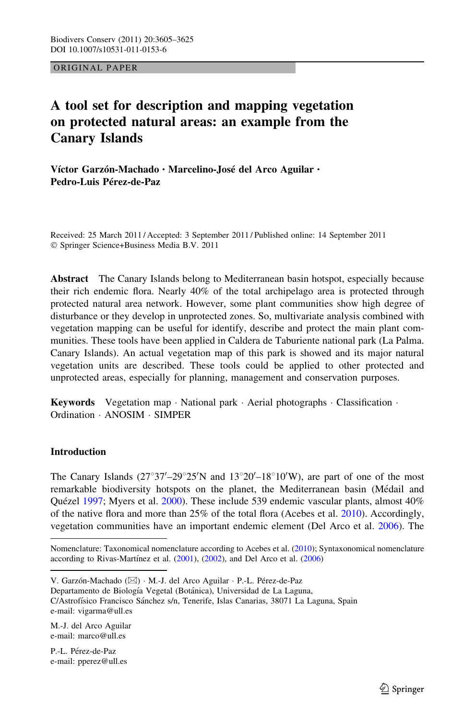ORIGINAL PAPER

# A tool set for description and mapping vegetation on protected natural areas: an example from the Canary Islands

Víctor Garzón-Machado · Marcelino-José del Arco Aguilar · Pedro-Luis Pérez-de-Paz

Received: 25 March 2011 / Accepted: 3 September 2011 / Published online: 14 September 2011 - Springer Science+Business Media B.V. 2011

Abstract The Canary Islands belong to Mediterranean basin hotspot, especially because their rich endemic flora. Nearly 40% of the total archipelago area is protected through protected natural area network. However, some plant communities show high degree of disturbance or they develop in unprotected zones. So, multivariate analysis combined with vegetation mapping can be useful for identify, describe and protect the main plant communities. These tools have been applied in Caldera de Taburiente national park (La Palma. Canary Islands). An actual vegetation map of this park is showed and its major natural vegetation units are described. These tools could be applied to other protected and unprotected areas, especially for planning, management and conservation purposes.

Keywords Vegetation map · National park · Aerial photographs · Classification · Ordination - ANOSIM - SIMPER

# Introduction

The Canary Islands  $(27^{\circ}37' - 29^{\circ}25'N$  and  $13^{\circ}20' - 18^{\circ}10'W)$ , are part of one of the most remarkable biodiversity hotspots on the planet, the Mediterranean basin (Médail and Quézel [1997](#page-19-0); Myers et al. [2000](#page-19-0)). These include 539 endemic vascular plants, almost 40% of the native flora and more than 25% of the total flora (Acebes et al. [2010\)](#page-18-0). Accordingly, vegetation communities have an important endemic element (Del Arco et al. [2006\)](#page-19-0). The

Nomenclature: Taxonomical nomenclature according to Acebes et al. ([2010\)](#page-18-0); Syntaxonomical nomenclature according to Rivas-Martínez et al.  $(2001)$  $(2001)$  $(2001)$ ,  $(2002)$  $(2002)$ , and Del Arco et al.  $(2006)$  $(2006)$ 

V. Garzón-Machado (⊠) · M.-J. del Arco Aguilar · P.-L. Pérez-de-Paz

Departamento de Biología Vegetal (Botánica), Universidad de La Laguna, C/Astrofísico Francisco Sánchez s/n, Tenerife, Islas Canarias, 38071 La Laguna, Spain e-mail: vigarma@ull.es

M.-J. del Arco Aguilar e-mail: marco@ull.es

P.-L. Pérez-de-Paz e-mail: pperez@ull.es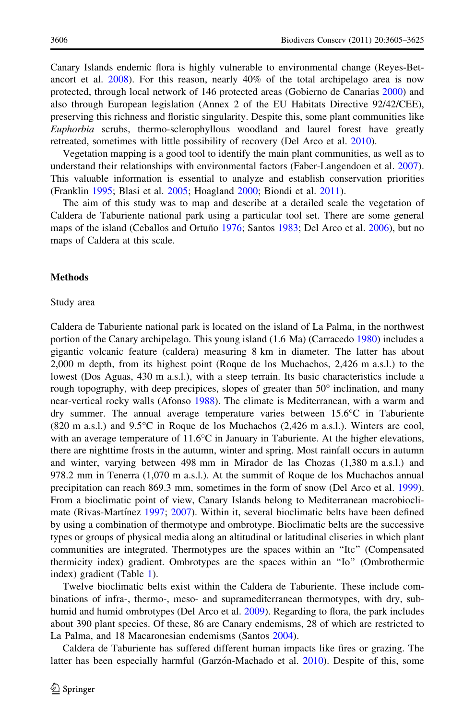Canary Islands endemic flora is highly vulnerable to environmental change (Reyes-Betancort et al. [2008](#page-19-0)). For this reason, nearly 40% of the total archipelago area is now protected, through local network of 146 protected areas (Gobierno de Canarias [2000\)](#page-18-0) and also through European legislation (Annex 2 of the EU Habitats Directive 92/42/CEE), preserving this richness and floristic singularity. Despite this, some plant communities like Euphorbia scrubs, thermo-sclerophyllous woodland and laurel forest have greatly retreated, sometimes with little possibility of recovery (Del Arco et al. [2010\)](#page-19-0).

Vegetation mapping is a good tool to identify the main plant communities, as well as to understand their relationships with environmental factors (Faber-Langendoen et al. [2007](#page-19-0)). This valuable information is essential to analyze and establish conservation priorities (Franklin [1995](#page-19-0); Blasi et al. [2005;](#page-18-0) Hoagland [2000;](#page-19-0) Biondi et al. [2011\)](#page-18-0).

The aim of this study was to map and describe at a detailed scale the vegetation of Caldera de Taburiente national park using a particular tool set. There are some general maps of the island (Ceballos and Ortuño [1976;](#page-18-0) Santos [1983](#page-20-0); Del Arco et al. [2006](#page-19-0)), but no maps of Caldera at this scale.

#### **Methods**

#### Study area

Caldera de Taburiente national park is located on the island of La Palma, in the northwest portion of the Canary archipelago. This young island (1.6 Ma) (Carracedo [1980\)](#page-18-0) includes a gigantic volcanic feature (caldera) measuring 8 km in diameter. The latter has about 2,000 m depth, from its highest point (Roque de los Muchachos, 2,426 m a.s.l.) to the lowest (Dos Aguas, 430 m a.s.l.), with a steep terrain. Its basic characteristics include a rough topography, with deep precipices, slopes of greater than  $50^\circ$  inclination, and many near-vertical rocky walls (Afonso [1988\)](#page-18-0). The climate is Mediterranean, with a warm and dry summer. The annual average temperature varies between  $15.6^{\circ}\text{C}$  in Taburiente  $(820 \text{ m a.s.}!)$  and  $9.5^{\circ}\text{C}$  in Roque de los Muchachos  $(2,426 \text{ m a.s.}!)$ . Winters are cool, with an average temperature of  $11.6^{\circ}\text{C}$  in January in Taburiente. At the higher elevations, there are nighttime frosts in the autumn, winter and spring. Most rainfall occurs in autumn and winter, varying between 498 mm in Mirador de las Chozas (1,380 m a.s.l.) and 978.2 mm in Tenerra (1,070 m a.s.l.). At the summit of Roque de los Muchachos annual precipitation can reach 869.3 mm, sometimes in the form of snow (Del Arco et al. [1999](#page-19-0)). From a bioclimatic point of view, Canary Islands belong to Mediterranean macrobiocli-mate (Rivas-Martínez [1997;](#page-20-0) [2007](#page-20-0)). Within it, several bioclimatic belts have been defined by using a combination of thermotype and ombrotype. Bioclimatic belts are the successive types or groups of physical media along an altitudinal or latitudinal cliseries in which plant communities are integrated. Thermotypes are the spaces within an ''Itc'' (Compensated thermicity index) gradient. Ombrotypes are the spaces within an ''Io'' (Ombrothermic index) gradient (Table [1](#page-2-0)).

Twelve bioclimatic belts exist within the Caldera de Taburiente. These include combinations of infra-, thermo-, meso- and supramediterranean thermotypes, with dry, sub-humid and humid ombrotypes (Del Arco et al. [2009](#page-19-0)). Regarding to flora, the park includes about 390 plant species. Of these, 86 are Canary endemisms, 28 of which are restricted to La Palma, and 18 Macaronesian endemisms (Santos [2004](#page-20-0)).

Caldera de Taburiente has suffered different human impacts like fires or grazing. The latter has been especially harmful (Garzón-Machado et al. [2010](#page-19-0)). Despite of this, some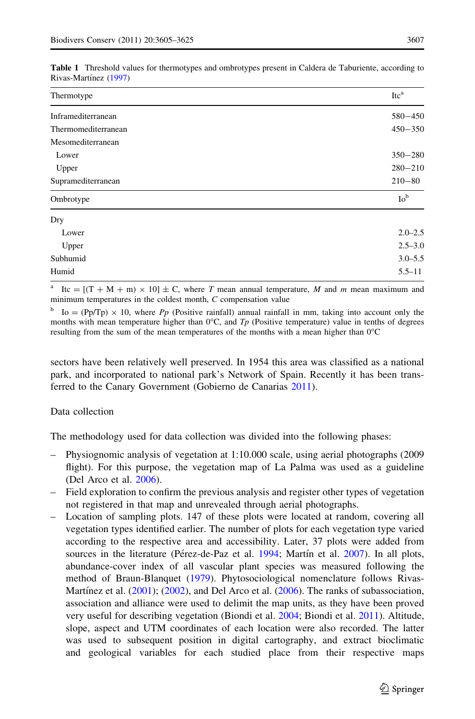| Thermotype          | Itc <sup>a</sup> |
|---------------------|------------------|
| Inframediterranean  | $580 - 450$      |
| Thermomediterranean | $450 - 350$      |
| Mesomediterranean   |                  |
| Lower               | $350 - 280$      |
| Upper               | $280 - 210$      |
| Supramediterranean  | $210 - 80$       |
| Ombrotype           | Io <sup>b</sup>  |
| Dry                 |                  |
| Lower               | $2.0 - 2.5$      |
| Upper               | $2.5 - 3.0$      |
| Subhumid            | $3.0 - 5.5$      |
| Humid               | $5.5 - 11$       |

<span id="page-2-0"></span>Table 1 Threshold values for thermotypes and ombrotypes present in Caldera de Taburiente, according to Rivas-Martínez ([1997\)](#page-20-0)

<sup>a</sup> Itc =  $[(T + M + m) \times 10] \pm C$ , where T mean annual temperature, M and m mean maximum and minimum temperatures in the coldest month, C compensation value

 $b$  Io = (Pp/Tp)  $\times$  10, where Pp (Positive rainfall) annual rainfall in mm, taking into account only the months with mean temperature higher than  $0^{\circ}C$ , and  $Tp$  (Positive temperature) value in tenths of degrees resulting from the sum of the mean temperatures of the months with a mean higher than  $0^{\circ}C$ 

sectors have been relatively well preserved. In 1954 this area was classified as a national park, and incorporated to national park's Network of Spain. Recently it has been transferred to the Canary Government (Gobierno de Canarias [2011\)](#page-19-0).

## Data collection

The methodology used for data collection was divided into the following phases:

- Physiognomic analysis of vegetation at 1:10.000 scale, using aerial photographs (2009 flight). For this purpose, the vegetation map of La Palma was used as a guideline (Del Arco et al. [2006](#page-19-0)).
- Field exploration to confirm the previous analysis and register other types of vegetation not registered in that map and unrevealed through aerial photographs.
- Location of sampling plots. 147 of these plots were located at random, covering all vegetation types identified earlier. The number of plots for each vegetation type varied according to the respective area and accessibility. Later, 37 plots were added from sources in the literature (Pérez-de-Paz et al. [1994](#page-19-0); Martín et al. [2007](#page-19-0)). In all plots, abundance-cover index of all vascular plant species was measured following the method of Braun-Blanquet ([1979\)](#page-18-0). Phytosociological nomenclature follows Rivas-Martínez et al.  $(2001)$ ;  $(2002)$  $(2002)$ , and Del Arco et al.  $(2006)$  $(2006)$ . The ranks of subassociation, association and alliance were used to delimit the map units, as they have been proved very useful for describing vegetation (Biondi et al. [2004;](#page-18-0) Biondi et al. [2011\)](#page-18-0). Altitude, slope, aspect and UTM coordinates of each location were also recorded. The latter was used to subsequent position in digital cartography, and extract bioclimatic and geological variables for each studied place from their respective maps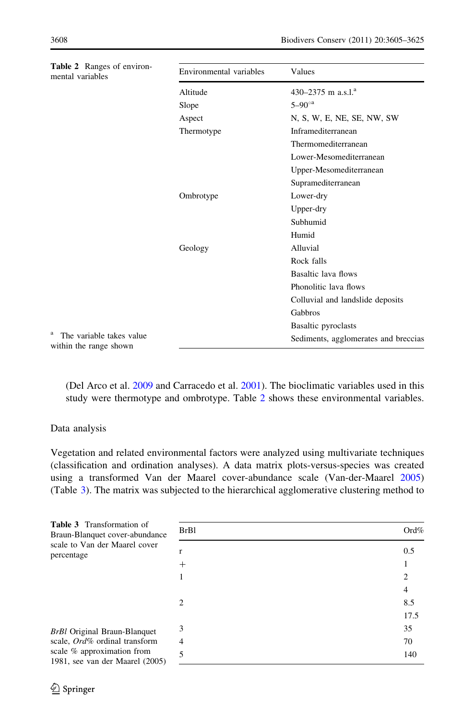<span id="page-3-0"></span>

| Table 2 Ranges of environ-<br>mental variables                  | Environmental variables | Values                               |
|-----------------------------------------------------------------|-------------------------|--------------------------------------|
|                                                                 | Altitude                | 430–2375 m a.s.l. <sup>a</sup>       |
|                                                                 | Slope                   | $5 - 90^\circ$ <sup>a</sup>          |
|                                                                 | Aspect                  | N, S, W, E, NE, SE, NW, SW           |
|                                                                 | Thermotype              | Inframediterranean                   |
|                                                                 |                         | Thermomediterranean                  |
|                                                                 |                         | Lower-Mesomediterranean              |
|                                                                 |                         | Upper-Mesomediterranean              |
|                                                                 |                         | Supramediterranean                   |
|                                                                 | Ombrotype               | Lower-dry                            |
|                                                                 |                         | Upper-dry                            |
|                                                                 |                         | Subhumid                             |
|                                                                 |                         | Humid                                |
|                                                                 | Geology                 | Alluvial                             |
|                                                                 |                         | Rock falls                           |
|                                                                 |                         | Basaltic lava flows                  |
|                                                                 |                         | Phonolitic lava flows                |
|                                                                 |                         | Colluvial and landslide deposits     |
|                                                                 |                         | Gabbros                              |
|                                                                 |                         | Basaltic pyroclasts                  |
| <sup>a</sup> The variable takes value<br>within the range shown |                         | Sediments, agglomerates and breccias |

(Del Arco et al. [2009](#page-19-0) and Carracedo et al. [2001\)](#page-18-0). The bioclimatic variables used in this study were thermotype and ombrotype. Table 2 shows these environmental variables.

## Data analysis

Vegetation and related environmental factors were analyzed using multivariate techniques (classification and ordination analyses). A data matrix plots-versus-species was created using a transformed Van der Maarel cover-abundance scale (Van-der-Maarel [2005](#page-20-0)) (Table 3). The matrix was subjected to the hierarchical agglomerative clustering method to

| <b>Table 3</b> Transformation of                                              |             |      |
|-------------------------------------------------------------------------------|-------------|------|
| Braun-Blanquet cover-abundance<br>scale to Van der Maarel cover<br>percentage | <b>BrB1</b> | Ord% |
|                                                                               |             | 0.5  |
|                                                                               | ┿           |      |
|                                                                               |             |      |
|                                                                               |             |      |
|                                                                               | 2           | 8.5  |
|                                                                               |             | 17.5 |
| <b>BrBl</b> Original Braun-Blanquet<br>scale, Ord% ordinal transform          | 3           | 35   |
|                                                                               | 4           | 70   |
| scale % approximation from<br>1981, see van der Maarel (2005)                 | 5           | 140  |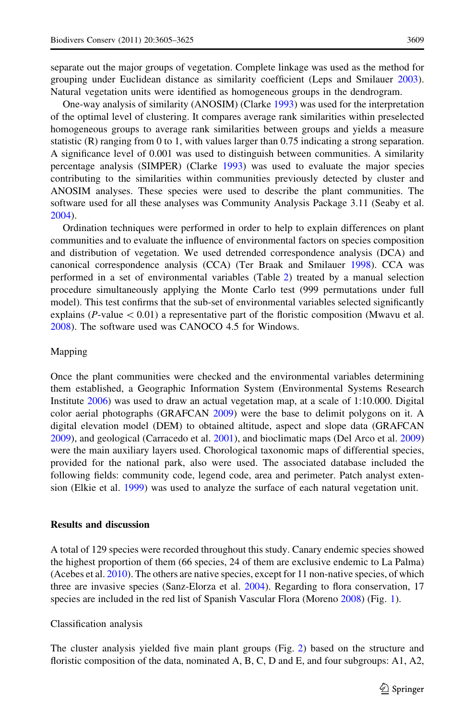separate out the major groups of vegetation. Complete linkage was used as the method for grouping under Euclidean distance as similarity coefficient (Leps and Smilauer [2003](#page-19-0)). Natural vegetation units were identified as homogeneous groups in the dendrogram.

One-way analysis of similarity (ANOSIM) (Clarke [1993](#page-18-0)) was used for the interpretation of the optimal level of clustering. It compares average rank similarities within preselected homogeneous groups to average rank similarities between groups and yields a measure statistic (R) ranging from 0 to 1, with values larger than 0.75 indicating a strong separation. A significance level of 0.001 was used to distinguish between communities. A similarity percentage analysis (SIMPER) (Clarke [1993\)](#page-18-0) was used to evaluate the major species contributing to the similarities within communities previously detected by cluster and ANOSIM analyses. These species were used to describe the plant communities. The software used for all these analyses was Community Analysis Package 3.11 (Seaby et al. [2004\)](#page-20-0).

Ordination techniques were performed in order to help to explain differences on plant communities and to evaluate the influence of environmental factors on species composition and distribution of vegetation. We used detrended correspondence analysis (DCA) and canonical correspondence analysis (CCA) (Ter Braak and Smilauer [1998](#page-20-0)). CCA was performed in a set of environmental variables (Table [2](#page-3-0)) treated by a manual selection procedure simultaneously applying the Monte Carlo test (999 permutations under full model). This test confirms that the sub-set of environmental variables selected significantly explains (P-value  $\lt 0.01$ ) a representative part of the floristic composition (Mwavu et al. [2008\)](#page-19-0). The software used was CANOCO 4.5 for Windows.

#### Mapping

Once the plant communities were checked and the environmental variables determining them established, a Geographic Information System (Environmental Systems Research Institute [2006\)](#page-19-0) was used to draw an actual vegetation map, at a scale of 1:10.000. Digital color aerial photographs (GRAFCAN [2009](#page-19-0)) were the base to delimit polygons on it. A digital elevation model (DEM) to obtained altitude, aspect and slope data (GRAFCAN [2009\)](#page-19-0), and geological (Carracedo et al. [2001\)](#page-18-0), and bioclimatic maps (Del Arco et al. [2009](#page-19-0)) were the main auxiliary layers used. Chorological taxonomic maps of differential species, provided for the national park, also were used. The associated database included the following fields: community code, legend code, area and perimeter. Patch analyst extension (Elkie et al. [1999\)](#page-19-0) was used to analyze the surface of each natural vegetation unit.

## Results and discussion

A total of 129 species were recorded throughout this study. Canary endemic species showed the highest proportion of them (66 species, 24 of them are exclusive endemic to La Palma) (Acebes et al. [2010\)](#page-18-0). The others are native species, except for 11 non-native species, of which three are invasive species (Sanz-Elorza et al. [2004](#page-20-0)). Regarding to flora conservation, 17 species are included in the red list of Spanish Vascular Flora (Moreno [2008](#page-19-0)) (Fig. [1\)](#page-5-0).

#### Classification analysis

The cluster analysis yielded five main plant groups (Fig. [2](#page-5-0)) based on the structure and floristic composition of the data, nominated A, B, C, D and E, and four subgroups: A1, A2,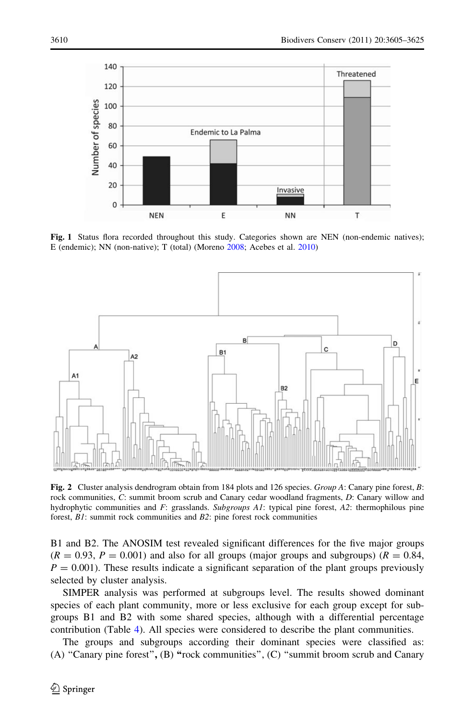<span id="page-5-0"></span>

Fig. 1 Status flora recorded throughout this study. Categories shown are NEN (non-endemic natives); E (endemic); NN (non-native); T (total) (Moreno [2008](#page-19-0); Acebes et al. [2010\)](#page-18-0)



Fig. 2 Cluster analysis dendrogram obtain from 184 plots and 126 species. Group A: Canary pine forest, B: rock communities, C: summit broom scrub and Canary cedar woodland fragments, D: Canary willow and hydrophytic communities and  $F$ : grasslands. Subgroups A1: typical pine forest, A2: thermophilous pine forest, B1: summit rock communities and B2: pine forest rock communities

B1 and B2. The ANOSIM test revealed significant differences for the five major groups  $(R = 0.93, P = 0.001)$  and also for all groups (major groups and subgroups)  $(R = 0.84, P)$  $P = 0.001$ ). These results indicate a significant separation of the plant groups previously selected by cluster analysis.

SIMPER analysis was performed at subgroups level. The results showed dominant species of each plant community, more or less exclusive for each group except for subgroups B1 and B2 with some shared species, although with a differential percentage contribution (Table [4](#page-6-0)). All species were considered to describe the plant communities.

The groups and subgroups according their dominant species were classified as: (A) ''Canary pine forest'', (B) ''rock communities'', (C) ''summit broom scrub and Canary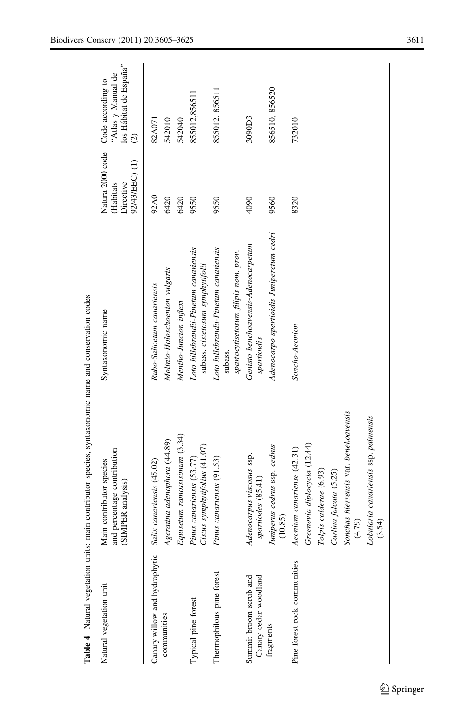<span id="page-6-0"></span>

| Natural vegetation unit                         | ind percentage contribution<br>Main contributor species<br>SIMPER analysis) | Syntaxonomic name                                                                        | Natura 2000 code<br>92/43/EEC) (1)<br>Directive<br>(Habitats | los Hábitat de España"<br>"Atlas y Manual de<br>Code according to<br>$\widehat{\infty}$ |
|-------------------------------------------------|-----------------------------------------------------------------------------|------------------------------------------------------------------------------------------|--------------------------------------------------------------|-----------------------------------------------------------------------------------------|
| Canary willow and hydrophytic                   | Salix canariensis (45.02)                                                   | Rubo-Salicetum canariensis                                                               | 92A0                                                         | 82A071                                                                                  |
| communities                                     | Ageratina adenophora (44.89)                                                | Molinio-Holoschoenion vulgaris                                                           | 6420                                                         | 542010                                                                                  |
|                                                 | Equisetum ramossisimum (3.34)                                               | Mentho-Juncion inflexi                                                                   | 6420                                                         | 542040                                                                                  |
| Typical pine forest                             | Cistus symphytifolius (41.07)<br>$P$ inus canariensis $(53.77)$             | Loto hillebrandii-Pinetum canariensis<br>subass. cistetosum symphytifolii                | 9550                                                         | 855012,856511                                                                           |
| Thermophilous pine forest                       | <sup>2</sup> inus canariensis (91.53)                                       | Loto hillebrandii-Pinetum canariensis<br>spartocytisetosum filipis nom. prov.<br>subass. | 9550                                                         | 855012, 856511                                                                          |
| Canary cedar woodland<br>Summit broom scrub and | Adenocarpus viscosus ssp.<br>spartiodes (85.41)                             | Genisto benehoavensis-Adenocarpetum<br>spartioidis                                       | 4090                                                         | 3090D3                                                                                  |
| fragments                                       | luniperus cedrus ssp. cedrus<br>(10.85)                                     | Adenocarpo spartioidis-Juniperetum cedri                                                 | 9560                                                         | 856510, 856520                                                                          |
| Pine forest rock communities                    | Greenovia diplocycla (12.44)<br>$1$ eonium canariense $(42.31)$             | Soncho-Aeonion                                                                           | 8320                                                         | 732010                                                                                  |
|                                                 | Tolpis calderae (6.93)<br>Carlina falcata (5.25)                            |                                                                                          |                                                              |                                                                                         |
|                                                 | sonchus hierrensis var. benehoavensis<br>(4.79)                             |                                                                                          |                                                              |                                                                                         |
|                                                 | cobularia canariensis ssp. palmensis<br>(3.54)                              |                                                                                          |                                                              |                                                                                         |
|                                                 |                                                                             |                                                                                          |                                                              |                                                                                         |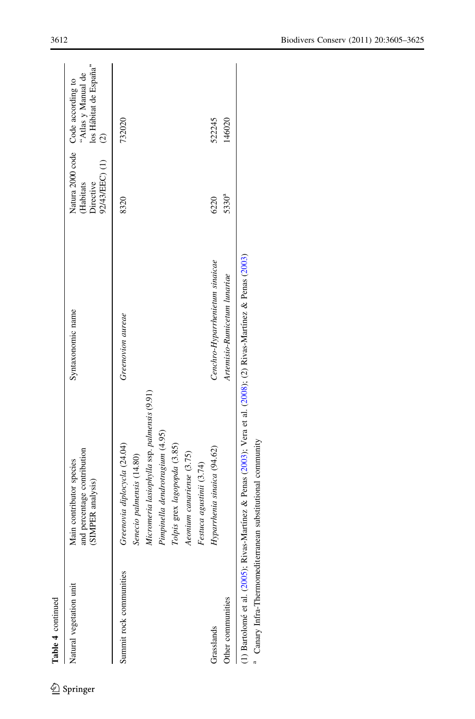| Table 4 continued       |                                                                                                                                                                                             |                                 |                                         |                                                                                                               |
|-------------------------|---------------------------------------------------------------------------------------------------------------------------------------------------------------------------------------------|---------------------------------|-----------------------------------------|---------------------------------------------------------------------------------------------------------------|
| Natural vegetation unit | and percentage contribution<br>Main contributor species<br>(SIMPER analysis)                                                                                                                | Syntaxonomic name               | 92/43/EEC) (1)<br>Habitats<br>Directive | los Hábitat de España"<br>"Atlas y Manual de<br>Natura 2000 code Code according to<br>$\widehat{\mathcal{O}}$ |
| Summit rock communities | Greenovia diplocycla (24.04)<br>Senecio palmensis (14.80)                                                                                                                                   | Greenovion aureae               | 8320                                    | 732020                                                                                                        |
|                         | Micromeria lasiophylla ssp. palmensis (9.91)<br>Pimpinella dendrotragium (4.95)<br>Tolpis grex lagopopda (3.85)<br>Aeonium canariense (3.75)                                                |                                 |                                         |                                                                                                               |
|                         | Festuca agustinii (3.74)                                                                                                                                                                    |                                 |                                         |                                                                                                               |
| Grasslands              | Hyparrhenia sinaica (94.62)                                                                                                                                                                 | Cenchro-Hyparrhenietum sinaicae | 6220                                    | 522245                                                                                                        |
| Other communities       |                                                                                                                                                                                             | Artemisio-Rumicetum lunariae    | 5330ª                                   | 146020                                                                                                        |
|                         | (1) Bartolomé et al. (2005); Rivas-Martínez & Penas (2003); Vera et al. (2008); (2) Rivas-Martínez & Penas (2003)<br><sup>a</sup> Canary Infra-Thermomediterranean substitutional community |                                 |                                         |                                                                                                               |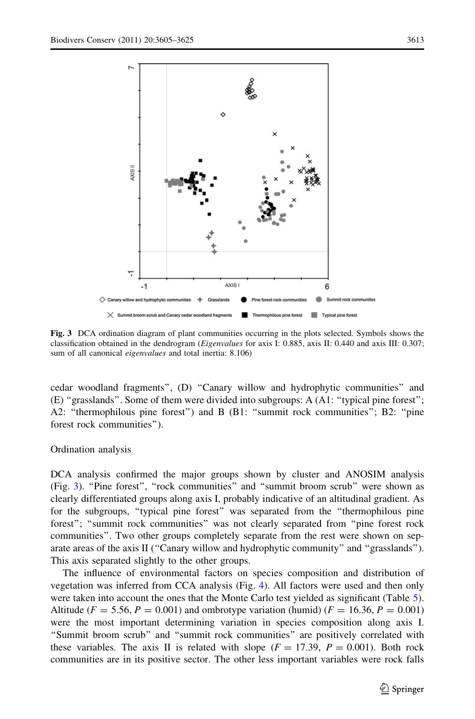

Fig. 3 DCA ordination diagram of plant communities occurring in the plots selected. Symbols shows the classification obtained in the dendrogram (Eigenvalues for axis I: 0.885, axis II: 0.440 and axis III: 0.307; sum of all canonical eigenvalues and total inertia: 8.106)

cedar woodland fragments'', (D) ''Canary willow and hydrophytic communities'' and (E) ''grasslands''. Some of them were divided into subgroups: A (A1: ''typical pine forest''; A2: "thermophilous pine forest") and B (B1: "summit rock communities"; B2: "pine forest rock communities'').

#### Ordination analysis

DCA analysis confirmed the major groups shown by cluster and ANOSIM analysis (Fig. 3). "Pine forest", "rock communities" and "summit broom scrub" were shown as clearly differentiated groups along axis I, probably indicative of an altitudinal gradient. As for the subgroups, ''typical pine forest'' was separated from the ''thermophilous pine forest''; ''summit rock communities'' was not clearly separated from ''pine forest rock communities''. Two other groups completely separate from the rest were shown on separate areas of the axis II (''Canary willow and hydrophytic community'' and ''grasslands''). This axis separated slightly to the other groups.

The influence of environmental factors on species composition and distribution of vegetation was inferred from CCA analysis (Fig. [4](#page-9-0)). All factors were used and then only were taken into account the ones that the Monte Carlo test yielded as significant (Table [5](#page-10-0)). Altitude ( $F = 5.56, P = 0.001$ ) and ombrotype variation (humid) ( $F = 16.36, P = 0.001$ ) were the most important determining variation in species composition along axis I. ''Summit broom scrub'' and ''summit rock communities'' are positively correlated with these variables. The axis II is related with slope  $(F = 17.39, P = 0.001)$ . Both rock communities are in its positive sector. The other less important variables were rock falls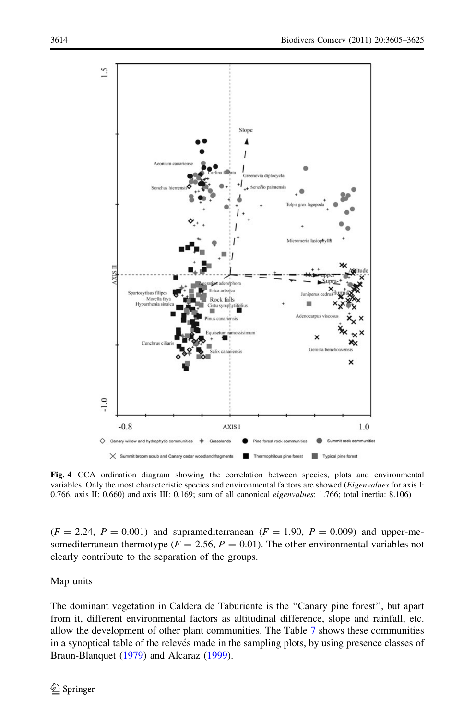<span id="page-9-0"></span>

Fig. 4 CCA ordination diagram showing the correlation between species, plots and environmental variables. Only the most characteristic species and environmental factors are showed (Eigenvalues for axis I: 0.766, axis II: 0.660) and axis III: 0.169; sum of all canonical eigenvalues: 1.766; total inertia: 8.106)

 $(F = 2.24, P = 0.001)$  and supramediterranean  $(F = 1.90, P = 0.009)$  and upper-mesomediterranean thermotype ( $F = 2.56$ ,  $P = 0.01$ ). The other environmental variables not clearly contribute to the separation of the groups.

Map units

The dominant vegetation in Caldera de Taburiente is the ''Canary pine forest'', but apart from it, different environmental factors as altitudinal difference, slope and rainfall, etc. allow the development of other plant communities. The Table [7](#page-15-0) shows these communities in a synoptical table of the relevés made in the sampling plots, by using presence classes of Braun-Blanquet ([1979\)](#page-18-0) and Alcaraz ([1999\)](#page-18-0).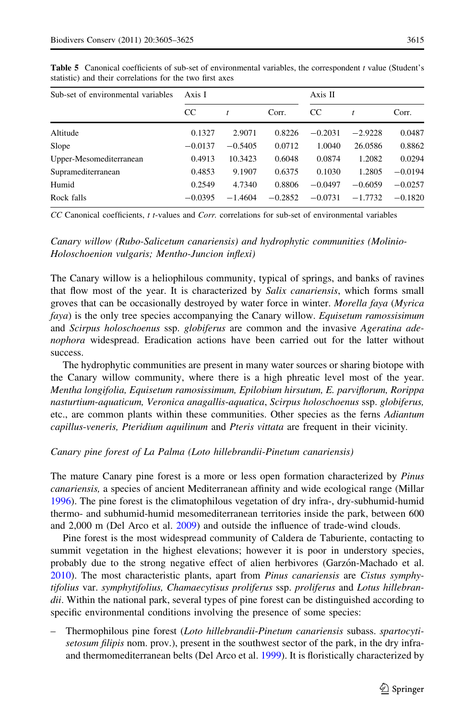| Sub-set of environmental variables | Axis I    |           |           | Axis II     |           |           |
|------------------------------------|-----------|-----------|-----------|-------------|-----------|-----------|
|                                    | CC        | t         | Corr.     | $_{\rm CC}$ | t         | Corr.     |
| Altitude                           | 0.1327    | 2.9071    | 0.8226    | $-0.2031$   | $-2.9228$ | 0.0487    |
| Slope                              | $-0.0137$ | $-0.5405$ | 0.0712    | 1.0040      | 26.0586   | 0.8862    |
| Upper-Mesomediterranean            | 0.4913    | 10.3423   | 0.6048    | 0.0874      | 1.2082    | 0.0294    |
| Supramediterranean                 | 0.4853    | 9.1907    | 0.6375    | 0.1030      | 1.2805    | $-0.0194$ |
| Humid                              | 0.2549    | 4.7340    | 0.8806    | $-0.0497$   | $-0.6059$ | $-0.0257$ |
| Rock falls                         | $-0.0395$ | $-1.4604$ | $-0.2852$ | $-0.0731$   | $-1.7732$ | $-0.1820$ |

<span id="page-10-0"></span>Table 5 Canonical coefficients of sub-set of environmental variables, the correspondent t value (Student's statistic) and their correlations for the two first axes

CC Canonical coefficients, t t-values and Corr. correlations for sub-set of environmental variables

Canary willow (Rubo-Salicetum canariensis) and hydrophytic communities (Molinio-Holoschoenion vulgaris; Mentho-Juncion inflexi)

The Canary willow is a heliophilous community, typical of springs, and banks of ravines that flow most of the year. It is characterized by *Salix canariensis*, which forms small groves that can be occasionally destroyed by water force in winter. Morella faya (Myrica faya) is the only tree species accompanying the Canary willow. Equisetum ramossisimum and Scirpus holoschoenus ssp. globiferus are common and the invasive Ageratina adenophora widespread. Eradication actions have been carried out for the latter without success.

The hydrophytic communities are present in many water sources or sharing biotope with the Canary willow community, where there is a high phreatic level most of the year. Mentha longifolia, Equisetum ramosissimum, Epilobium hirsutum, E. parviflorum, Rorippa nasturtium-aquaticum, Veronica anagallis-aquatica, Scirpus holoschoenus ssp. globiferus, etc., are common plants within these communities. Other species as the ferns Adiantum capillus-veneris, Pteridium aquilinum and Pteris vittata are frequent in their vicinity.

## Canary pine forest of La Palma (Loto hillebrandii-Pinetum canariensis)

The mature Canary pine forest is a more or less open formation characterized by *Pinus* canariensis, a species of ancient Mediterranean affinity and wide ecological range (Millar [1996\)](#page-19-0). The pine forest is the climatophilous vegetation of dry infra-, dry-subhumid-humid thermo- and subhumid-humid mesomediterranean territories inside the park, between 600 and 2,000 m (Del Arco et al. [2009](#page-19-0)) and outside the influence of trade-wind clouds.

Pine forest is the most widespread community of Caldera de Taburiente, contacting to summit vegetation in the highest elevations; however it is poor in understory species, probably due to the strong negative effect of alien herbivores (Garzón-Machado et al. [2010\)](#page-19-0). The most characteristic plants, apart from *Pinus canariensis* are *Cistus symphy*tifolius var. symphytifolius, Chamaecytisus proliferus ssp. proliferus and Lotus hillebrandii. Within the national park, several types of pine forest can be distinguished according to specific environmental conditions involving the presence of some species:

– Thermophilous pine forest (Loto hillebrandii-Pinetum canariensis subass. spartocytisetosum filipis nom. prov.), present in the southwest sector of the park, in the dry infraand thermomediterranean belts (Del Arco et al. [1999](#page-19-0)). It is floristically characterized by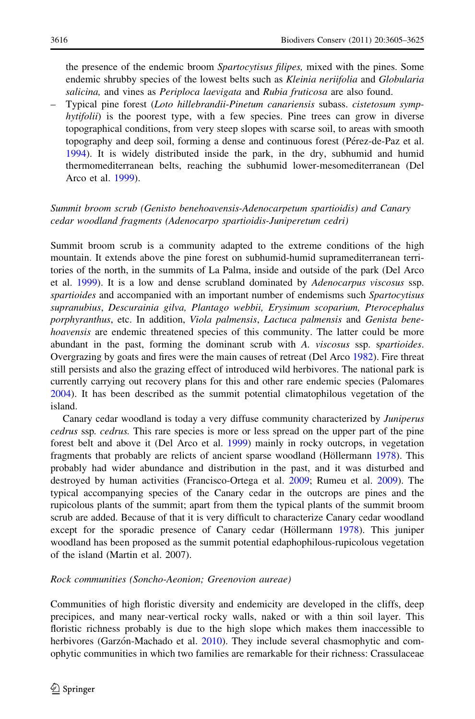the presence of the endemic broom *Spartocytisus filipes*, mixed with the pines. Some endemic shrubby species of the lowest belts such as Kleinia neriifolia and Globularia salicina, and vines as Periploca laevigata and Rubia fruticosa are also found.

– Typical pine forest (Loto hillebrandii-Pinetum canariensis subass. cistetosum symphytifolii) is the poorest type, with a few species. Pine trees can grow in diverse topographical conditions, from very steep slopes with scarse soil, to areas with smooth topography and deep soil, forming a dense and continuous forest (Pérez-de-Paz et al. [1994\)](#page-19-0). It is widely distributed inside the park, in the dry, subhumid and humid thermomediterranean belts, reaching the subhumid lower-mesomediterranean (Del Arco et al. [1999](#page-19-0)).

# Summit broom scrub (Genisto benehoavensis-Adenocarpetum spartioidis) and Canary cedar woodland fragments (Adenocarpo spartioidis-Juniperetum cedri)

Summit broom scrub is a community adapted to the extreme conditions of the high mountain. It extends above the pine forest on subhumid-humid supramediterranean territories of the north, in the summits of La Palma, inside and outside of the park (Del Arco et al. [1999](#page-19-0)). It is a low and dense scrubland dominated by Adenocarpus viscosus ssp. spartioides and accompanied with an important number of endemisms such Spartocytisus supranubius, Descurainia gilva, Plantago webbii, Erysimum scoparium, Pterocephalus porphyranthus, etc. In addition, Viola palmensis, Lactuca palmensis and Genista benehoavensis are endemic threatened species of this community. The latter could be more abundant in the past, forming the dominant scrub with A. viscosus ssp. spartioides. Overgrazing by goats and fires were the main causes of retreat (Del Arco [1982](#page-19-0)). Fire threat still persists and also the grazing effect of introduced wild herbivores. The national park is currently carrying out recovery plans for this and other rare endemic species (Palomares [2004\)](#page-19-0). It has been described as the summit potential climatophilous vegetation of the island.

Canary cedar woodland is today a very diffuse community characterized by Juniperus cedrus ssp. cedrus. This rare species is more or less spread on the upper part of the pine forest belt and above it (Del Arco et al. [1999](#page-19-0)) mainly in rocky outcrops, in vegetation fragments that probably are relicts of ancient sparse woodland (Höllermann [1978\)](#page-19-0). This probably had wider abundance and distribution in the past, and it was disturbed and destroyed by human activities (Francisco-Ortega et al. [2009](#page-19-0); Rumeu et al. [2009](#page-20-0)). The typical accompanying species of the Canary cedar in the outcrops are pines and the rupicolous plants of the summit; apart from them the typical plants of the summit broom scrub are added. Because of that it is very difficult to characterize Canary cedar woodland except for the sporadic presence of Canary cedar (Höllermann [1978](#page-19-0)). This juniper woodland has been proposed as the summit potential edaphophilous-rupicolous vegetation of the island (Martin et al. 2007).

# Rock communities (Soncho-Aeonion; Greenovion aureae)

Communities of high floristic diversity and endemicity are developed in the cliffs, deep precipices, and many near-vertical rocky walls, naked or with a thin soil layer. This floristic richness probably is due to the high slope which makes them inaccessible to herbivores (Garzón-Machado et al. [2010\)](#page-19-0). They include several chasmophytic and comophytic communities in which two families are remarkable for their richness: Crassulaceae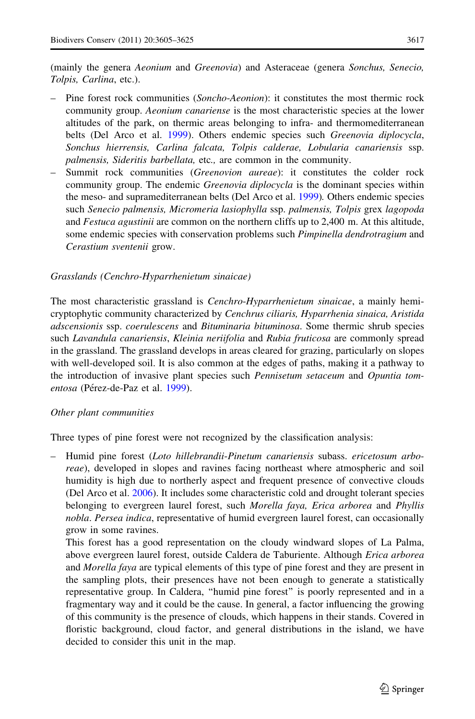(mainly the genera Aeonium and Greenovia) and Asteraceae (genera Sonchus, Senecio, Tolpis, Carlina, etc.).

- Pine forest rock communities (Soncho-Aeonion): it constitutes the most thermic rock community group. *Aeonium canariense* is the most characteristic species at the lower altitudes of the park, on thermic areas belonging to infra- and thermomediterranean belts (Del Arco et al. [1999\)](#page-19-0). Others endemic species such Greenovia diplocycla, Sonchus hierrensis, Carlina falcata, Tolpis calderae, Lobularia canariensis ssp. palmensis, Sideritis barbellata, etc., are common in the community.
- Summit rock communities (*Greenovion aureae*): it constitutes the colder rock community group. The endemic Greenovia diplocycla is the dominant species within the meso- and supramediterranean belts (Del Arco et al. [1999\)](#page-19-0). Others endemic species such Senecio palmensis, Micromeria lasiophylla ssp. palmensis, Tolpis grex lagopoda and Festuca agustinii are common on the northern cliffs up to 2,400 m. At this altitude, some endemic species with conservation problems such Pimpinella dendrotragium and Cerastium sventenii grow.

## Grasslands (Cenchro-Hyparrhenietum sinaicae)

The most characteristic grassland is *Cenchro-Hyparrhenietum sinaicae*, a mainly hemicryptophytic community characterized by Cenchrus ciliaris, Hyparrhenia sinaica, Aristida adscensionis ssp. coerulescens and Bituminaria bituminosa. Some thermic shrub species such Lavandula canariensis, Kleinia neriifolia and Rubia fruticosa are commonly spread in the grassland. The grassland develops in areas cleared for grazing, particularly on slopes with well-developed soil. It is also common at the edges of paths, making it a pathway to the introduction of invasive plant species such *Pennisetum setaceum* and *Opuntia tom*-entosa (Pérez-de-Paz et al. [1999](#page-19-0)).

## Other plant communities

Three types of pine forest were not recognized by the classification analysis:

– Humid pine forest (Loto hillebrandii-Pinetum canariensis subass. ericetosum arboreae), developed in slopes and ravines facing northeast where atmospheric and soil humidity is high due to northerly aspect and frequent presence of convective clouds (Del Arco et al. [2006](#page-19-0)). It includes some characteristic cold and drought tolerant species belonging to evergreen laurel forest, such Morella faya, Erica arborea and Phyllis nobla. Persea indica, representative of humid evergreen laurel forest, can occasionally grow in some ravines.

This forest has a good representation on the cloudy windward slopes of La Palma, above evergreen laurel forest, outside Caldera de Taburiente. Although Erica arborea and Morella faya are typical elements of this type of pine forest and they are present in the sampling plots, their presences have not been enough to generate a statistically representative group. In Caldera, ''humid pine forest'' is poorly represented and in a fragmentary way and it could be the cause. In general, a factor influencing the growing of this community is the presence of clouds, which happens in their stands. Covered in floristic background, cloud factor, and general distributions in the island, we have decided to consider this unit in the map.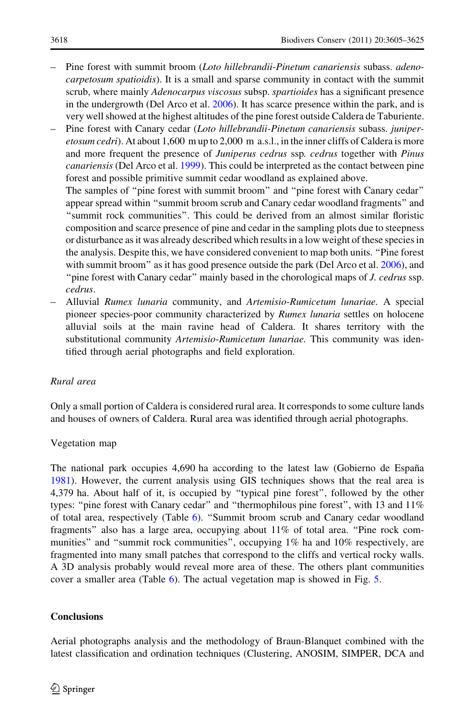- Pine forest with summit broom (Loto hillebrandii-Pinetum canariensis subass. adenocarpetosum spatioidis). It is a small and sparse community in contact with the summit scrub, where mainly Adenocarpus viscosus subsp. spartioides has a significant presence in the undergrowth (Del Arco et al. [2006\)](#page-19-0). It has scarce presence within the park, and is very well showed at the highest altitudes of the pine forest outside Caldera de Taburiente.
- Pine forest with Canary cedar (Loto hillebrandii-Pinetum canariensis subass. juniperetosum cedri). At about 1,600 m up to 2,000 m a.s.l., in the inner cliffs of Caldera is more and more frequent the presence of Juniperus cedrus ssp. cedrus together with Pinus canariensis (Del Arco et al. [1999\)](#page-19-0). This could be interpreted as the contact between pine forest and possible primitive summit cedar woodland as explained above. The samples of ''pine forest with summit broom'' and ''pine forest with Canary cedar''

appear spread within ''summit broom scrub and Canary cedar woodland fragments'' and ''summit rock communities''. This could be derived from an almost similar floristic composition and scarce presence of pine and cedar in the sampling plots due to steepness or disturbance as it was already described which results in a low weight of these species in the analysis. Despite this, we have considered convenient to map both units. ''Pine forest with summit broom'' as it has good presence outside the park (Del Arco et al. [2006](#page-19-0)), and "pine forest with Canary cedar" mainly based in the chorological maps of *J. cedrus* ssp. cedrus.

– Alluvial Rumex lunaria community, and Artemisio-Rumicetum lunariae. A special pioneer species-poor community characterized by *Rumex lunaria* settles on holocene alluvial soils at the main ravine head of Caldera. It shares territory with the substitutional community Artemisio-Rumicetum lunariae. This community was identified through aerial photographs and field exploration.

# Rural area

Only a small portion of Caldera is considered rural area. It corresponds to some culture lands and houses of owners of Caldera. Rural area was identified through aerial photographs.

## Vegetation map

The national park occupies 4,690 ha according to the latest law (Gobierno de España) [1981\)](#page-19-0). However, the current analysis using GIS techniques shows that the real area is 4,379 ha. About half of it, is occupied by ''typical pine forest'', followed by the other types: "pine forest with Canary cedar" and "thermophilous pine forest", with 13 and 11% of total area, respectively (Table [6\)](#page-14-0). ''Summit broom scrub and Canary cedar woodland fragments'' also has a large area, occupying about 11% of total area. ''Pine rock communities" and "summit rock communities", occupying 1% ha and 10% respectively, are fragmented into many small patches that correspond to the cliffs and vertical rocky walls. A 3D analysis probably would reveal more area of these. The others plant communities cover a smaller area (Table [6](#page-14-0)). The actual vegetation map is showed in Fig. [5.](#page-14-0)

## **Conclusions**

Aerial photographs analysis and the methodology of Braun-Blanquet combined with the latest classification and ordination techniques (Clustering, ANOSIM, SIMPER, DCA and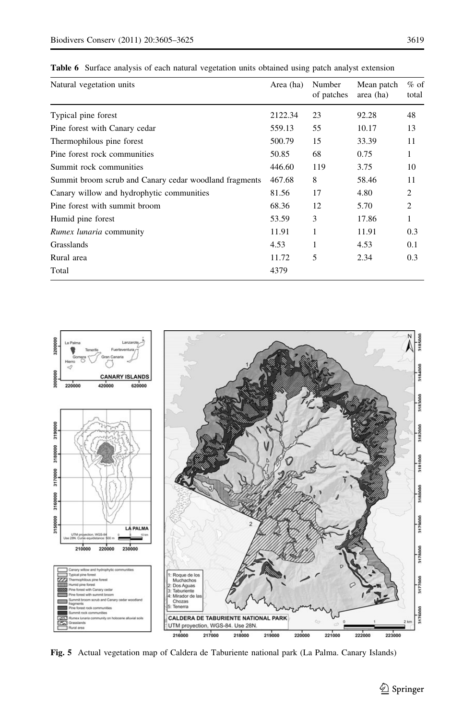| Natural vegetation units                               | Area (ha) | Number<br>of patches | Mean patch<br>area (ha) | $%$ of<br>total |
|--------------------------------------------------------|-----------|----------------------|-------------------------|-----------------|
| Typical pine forest                                    | 2122.34   | 23                   | 92.28                   | 48              |
| Pine forest with Canary cedar                          | 559.13    | 55                   | 10.17                   | 13              |
| Thermophilous pine forest                              | 500.79    | 15                   | 33.39                   | 11              |
| Pine forest rock communities                           | 50.85     | 68                   | 0.75                    | 1               |
| Summit rock communities                                | 446.60    | 119                  | 3.75                    | 10              |
| Summit broom scrub and Canary cedar woodland fragments | 467.68    | 8                    | 58.46                   | 11              |
| Canary willow and hydrophytic communities              | 81.56     | 17                   | 4.80                    | 2               |
| Pine forest with summit broom                          | 68.36     | 12                   | 5.70                    | 2               |
| Humid pine forest                                      | 53.59     | 3                    | 17.86                   | 1               |
| <i>Rumex lunaria</i> community                         | 11.91     | 1                    | 11.91                   | 0.3             |
| Grasslands                                             | 4.53      | 1                    | 4.53                    | 0.1             |
| Rural area                                             | 11.72     | 5                    | 2.34                    | 0.3             |
| Total                                                  | 4379      |                      |                         |                 |

<span id="page-14-0"></span>Table 6 Surface analysis of each natural vegetation units obtained using patch analyst extension



Fig. 5 Actual vegetation map of Caldera de Taburiente national park (La Palma. Canary Islands)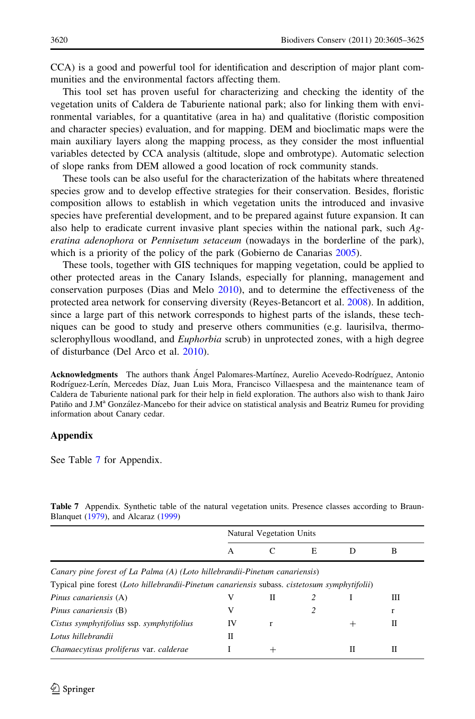<span id="page-15-0"></span>CCA) is a good and powerful tool for identification and description of major plant communities and the environmental factors affecting them.

This tool set has proven useful for characterizing and checking the identity of the vegetation units of Caldera de Taburiente national park; also for linking them with environmental variables, for a quantitative (area in ha) and qualitative (floristic composition and character species) evaluation, and for mapping. DEM and bioclimatic maps were the main auxiliary layers along the mapping process, as they consider the most influential variables detected by CCA analysis (altitude, slope and ombrotype). Automatic selection of slope ranks from DEM allowed a good location of rock community stands.

These tools can be also useful for the characterization of the habitats where threatened species grow and to develop effective strategies for their conservation. Besides, floristic composition allows to establish in which vegetation units the introduced and invasive species have preferential development, and to be prepared against future expansion. It can also help to eradicate current invasive plant species within the national park, such Ageratina adenophora or Pennisetum setaceum (nowadays in the borderline of the park), which is a priority of the policy of the park (Gobierno de Canarias [2005\)](#page-18-0).

These tools, together with GIS techniques for mapping vegetation, could be applied to other protected areas in the Canary Islands, especially for planning, management and conservation purposes (Dias and Melo [2010\)](#page-19-0), and to determine the effectiveness of the protected area network for conserving diversity (Reyes-Betancort et al. [2008](#page-19-0)). In addition, since a large part of this network corresponds to highest parts of the islands, these techniques can be good to study and preserve others communities (e.g. laurisilva, thermosclerophyllous woodland, and *Euphorbia* scrub) in unprotected zones, with a high degree of disturbance (Del Arco et al. [2010](#page-19-0)).

Acknowledgments The authors thank Ángel Palomares-Martínez, Aurelio Acevedo-Rodríguez, Antonio Rodríguez-Lerín, Mercedes Díaz, Juan Luis Mora, Francisco Villaespesa and the maintenance team of Caldera de Taburiente national park for their help in field exploration. The authors also wish to thank Jairo Patiño and J.M<sup>a</sup> González-Mancebo for their advice on statistical analysis and Beatriz Rumeu for providing information about Canary cedar.

## Appendix

See Table 7 for Appendix.

Table 7 Appendix. Synthetic table of the natural vegetation units. Presence classes according to Braun-Blanquet ([1979\)](#page-18-0), and Alcaraz [\(1999](#page-18-0))

|                                                                                              | Natural Vegetation Units |      |   |      |   |  |  |
|----------------------------------------------------------------------------------------------|--------------------------|------|---|------|---|--|--|
|                                                                                              | A                        | C    | E | Ð    | B |  |  |
| Canary pine forest of La Palma (A) (Loto hillebrandii-Pinetum canariensis)                   |                          |      |   |      |   |  |  |
| Typical pine forest (Loto hillebrandii-Pinetum canariensis subass. cistetosum symphytifolii) |                          |      |   |      |   |  |  |
| Pinus canariensis (A)                                                                        | V                        | П    |   |      | Ш |  |  |
| Pinus canariensis (B)                                                                        | V                        |      | 2 |      | r |  |  |
| Cistus symphytifolius ssp. symphytifolius                                                    | IV                       |      |   | $^+$ | Н |  |  |
| Lotus hillebrandii                                                                           | П                        |      |   |      |   |  |  |
| Chamaecytisus proliferus var. calderae                                                       |                          | $^+$ |   | Н    | Н |  |  |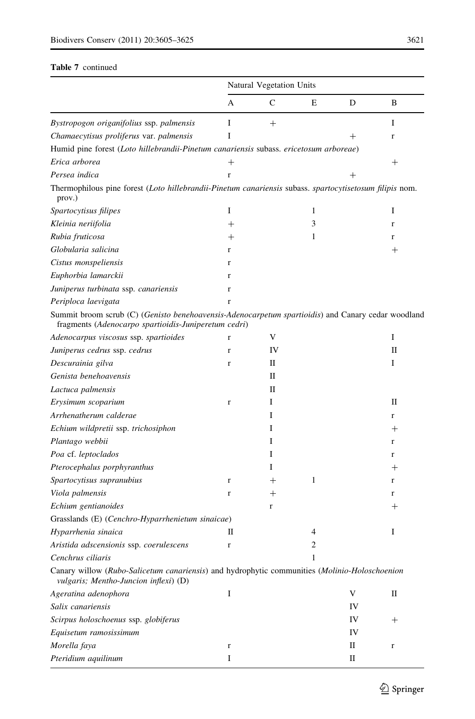## Table 7 continued

|                                                                                                                                                            | Natural Vegetation Units |        |   |      |                    |  |  |
|------------------------------------------------------------------------------------------------------------------------------------------------------------|--------------------------|--------|---|------|--------------------|--|--|
|                                                                                                                                                            | A                        | C      | E | D    | B                  |  |  |
| Bystropogon origanifolius ssp. palmensis                                                                                                                   | I                        | $^{+}$ |   |      | I                  |  |  |
| Chamaecytisus proliferus var. palmensis                                                                                                                    | I                        |        |   | $^+$ | r                  |  |  |
| Humid pine forest (Loto hillebrandii-Pinetum canariensis subass. ericetosum arboreae)                                                                      |                          |        |   |      |                    |  |  |
| Erica arborea                                                                                                                                              | $^{+}$                   |        |   |      | $^{+}$             |  |  |
| Persea indica                                                                                                                                              | $\mathbf{r}$             |        |   | $^+$ |                    |  |  |
| Thermophilous pine forest (Loto hillebrandii-Pinetum canariensis subass. spartocytisetosum filipis nom.<br>prov.)                                          |                          |        |   |      |                    |  |  |
| Spartocytisus filipes                                                                                                                                      | I                        |        | 1 |      | I                  |  |  |
| Kleinia neriifolia                                                                                                                                         | $^{+}$                   |        | 3 |      | r                  |  |  |
| Rubia fruticosa                                                                                                                                            | $^{+}$                   |        | 1 |      | r                  |  |  |
| Globularia salicina                                                                                                                                        | $\mathbf{r}$             |        |   |      | $^+$               |  |  |
| Cistus monspeliensis                                                                                                                                       | $\mathbf{r}$             |        |   |      |                    |  |  |
| Euphorbia lamarckii                                                                                                                                        | $\mathbf{r}$             |        |   |      |                    |  |  |
| Juniperus turbinata ssp. canariensis                                                                                                                       | $\mathbf{r}$             |        |   |      |                    |  |  |
| Periploca laevigata                                                                                                                                        | $\mathbf{r}$             |        |   |      |                    |  |  |
| Summit broom scrub (C) (Genisto benehoavensis-Adenocarpetum spartioidis) and Canary cedar woodland<br>fragments (Adenocarpo spartioidis-Juniperetum cedri) |                          |        |   |      |                    |  |  |
| Adenocarpus viscosus ssp. spartioides                                                                                                                      | $\mathbf r$              | V      |   |      | I                  |  |  |
| Juniperus cedrus ssp. cedrus                                                                                                                               | $\mathbf{r}$             | IV     |   |      | П                  |  |  |
| Descurainia gilva                                                                                                                                          | $\mathbf{r}$             | П      |   |      | I                  |  |  |
| Genista benehoavensis                                                                                                                                      |                          | П      |   |      |                    |  |  |
| Lactuca palmensis                                                                                                                                          |                          | П      |   |      |                    |  |  |
| Erysimum scoparium                                                                                                                                         | $\mathbf{r}$             | I      |   |      | П                  |  |  |
| Arrhenatherum calderae                                                                                                                                     |                          | I      |   |      | r                  |  |  |
| Echium wildpretii ssp. trichosiphon                                                                                                                        |                          | I      |   |      | $\pm$              |  |  |
| Plantago webbii                                                                                                                                            |                          | I      |   |      | r                  |  |  |
| Poa cf. leptoclados                                                                                                                                        |                          | I      |   |      | r                  |  |  |
| Pterocephalus porphyranthus                                                                                                                                |                          | Ι      |   |      | $^+$               |  |  |
| Spartocytisus supranubius                                                                                                                                  | $\mathbf r$              | $^{+}$ | 1 |      | r                  |  |  |
| Viola palmensis                                                                                                                                            | r                        | $^+$   |   |      | r                  |  |  |
| Echium gentianoides                                                                                                                                        |                          | r      |   |      | $^+$               |  |  |
| Grasslands (E) (Cenchro-Hyparrhenietum sinaicae)                                                                                                           |                          |        |   |      |                    |  |  |
| Hyparrhenia sinaica                                                                                                                                        | П                        |        | 4 |      | I                  |  |  |
| Aristida adscensionis ssp. coerulescens                                                                                                                    | $\mathbf r$              |        | 2 |      |                    |  |  |
| Cenchrus ciliaris                                                                                                                                          |                          |        | 1 |      |                    |  |  |
| Canary willow (Rubo-Salicetum canariensis) and hydrophytic communities (Molinio-Holoschoenion<br><i>vulgaris; Mentho-Juncion inflexi</i> ) (D)             |                          |        |   |      |                    |  |  |
| Ageratina adenophora                                                                                                                                       | I                        |        |   | V    | П                  |  |  |
| Salix canariensis                                                                                                                                          |                          |        |   | IV   |                    |  |  |
| Scirpus holoschoenus ssp. globiferus                                                                                                                       |                          |        |   | IV   | $\hspace{0.1mm} +$ |  |  |
| Equisetum ramosissimum                                                                                                                                     |                          |        |   | IV   |                    |  |  |
| Morella faya                                                                                                                                               | $\mathbf r$              |        |   | П    | $\mathbf r$        |  |  |
| Pteridium aquilinum                                                                                                                                        | I                        |        |   | П    |                    |  |  |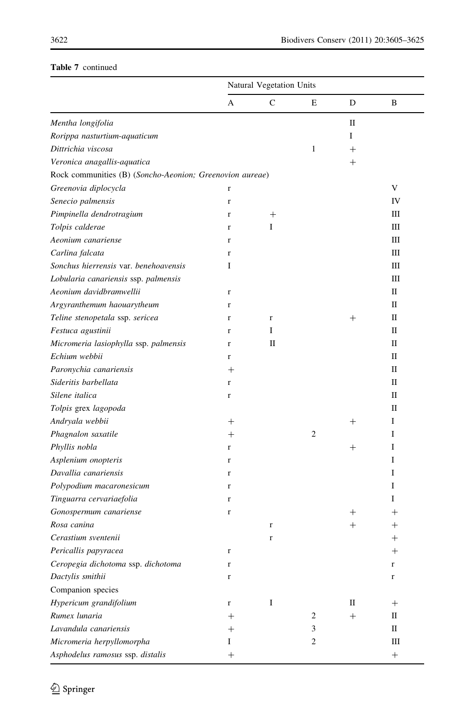# Table 7 continued

|                                                          | Natural Vegetation Units |         |              |        |             |  |
|----------------------------------------------------------|--------------------------|---------|--------------|--------|-------------|--|
|                                                          | А                        | C       | Е            | D      | B           |  |
| Mentha longifolia                                        |                          |         |              | П      |             |  |
| Rorippa nasturtium-aquaticum                             |                          |         |              | Ι      |             |  |
| Dittrichia viscosa                                       |                          |         | $\mathbf{1}$ | $^{+}$ |             |  |
| Veronica anagallis-aquatica                              |                          |         |              | $^{+}$ |             |  |
| Rock communities (B) (Soncho-Aeonion; Greenovion aureae) |                          |         |              |        |             |  |
| Greenovia diplocycla                                     | r                        |         |              |        | V           |  |
| Senecio palmensis                                        | $\mathbf r$              |         |              |        | IV          |  |
| Pimpinella dendrotragium                                 | r                        | $^{+}$  |              |        | Ш           |  |
| Tolpis calderae                                          | $\mathbf r$              | I       |              |        | Ш           |  |
| Aeonium canariense                                       | r                        |         |              |        | Ш           |  |
| Carlina falcata                                          | r                        |         |              |        | Ш           |  |
| Sonchus hierrensis var. benehoavensis                    | I                        |         |              |        | Ш           |  |
| Lobularia canariensis ssp. palmensis                     |                          |         |              |        | Ш           |  |
| Aeonium davidbramwellii                                  | $\mathbf r$              |         |              |        | П           |  |
| Argyranthemum haouarytheum                               | r                        |         |              |        | П           |  |
| Teline stenopetala ssp. sericea                          | r                        | $\bf r$ |              | $^{+}$ | П           |  |
| Festuca agustinii                                        | r                        | I       |              |        | П           |  |
| Micromeria lasiophylla ssp. palmensis                    | $\mathbf r$              | П       |              |        | П           |  |
| Echium webbii                                            | r                        |         |              |        | П           |  |
| Paronychia canariensis                                   | $^{+}$                   |         |              |        | П           |  |
| Sideritis barbellata                                     | r                        |         |              |        | П           |  |
| Silene italica                                           | r                        |         |              |        | П           |  |
| Tolpis grex lagopoda                                     |                          |         |              |        | П           |  |
| Andryala webbii                                          | $^{+}$                   |         |              | $^+$   | Ι           |  |
| Phagnalon saxatile                                       | $^+$                     |         | 2            |        | I           |  |
| Phyllis nobla                                            | r                        |         |              | $^{+}$ | I           |  |
| Asplenium onopteris                                      | r                        |         |              |        | Ι           |  |
| Davallia canariensis                                     | r                        |         |              |        | Ι           |  |
| Polypodium macaronesicum                                 | r                        |         |              |        | L           |  |
| Tinguarra cervariaefolia                                 | r                        |         |              |        | L           |  |
| Gonospermum canariense                                   | r                        |         |              | $^+$   | $^+$        |  |
| Rosa canina                                              |                          | r       |              | $^{+}$ | $^+$        |  |
| Cerastium sventenii                                      |                          | r       |              |        |             |  |
| Pericallis papyracea                                     | r                        |         |              |        | $^{+}$      |  |
| Ceropegia dichotoma ssp. dichotoma                       | $\mathbf r$              |         |              |        | $\mathbf r$ |  |
| Dactylis smithii                                         | r                        |         |              |        | $\mathbf r$ |  |
| Companion species                                        |                          |         |              |        |             |  |
| Hypericum grandifolium                                   | r                        | $\bf I$ |              | П      | $^{+}$      |  |
| Rumex lunaria                                            | $^{+}$                   |         | 2            | $^{+}$ | П           |  |
| Lavandula canariensis                                    | $^+$                     |         | 3            |        | П           |  |
| Micromeria herpyllomorpha                                | Ι                        |         | 2            |        | $\rm III$   |  |
| Asphodelus ramosus ssp. distalis                         | $^+$                     |         |              |        |             |  |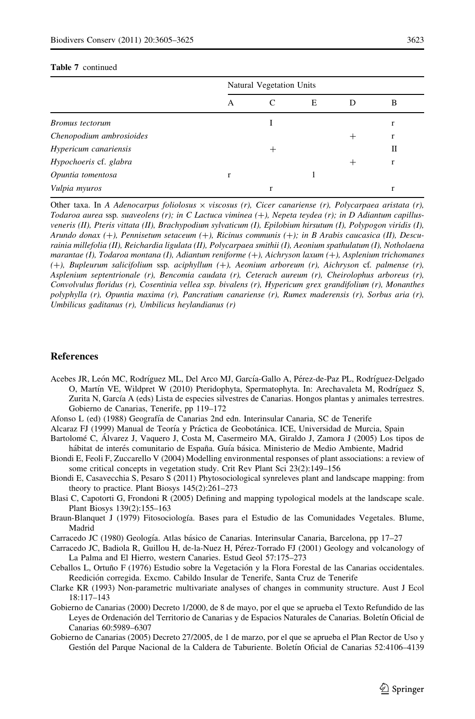#### <span id="page-18-0"></span>Table 7 continued

|                          | Natural Vegetation Units |   |   |                 |   |  |  |  |
|--------------------------|--------------------------|---|---|-----------------|---|--|--|--|
|                          | А                        | C | E | Ð               | B |  |  |  |
| Bromus tectorum          |                          |   |   |                 |   |  |  |  |
| Chenopodium ambrosioides |                          |   |   | $^{\mathrm{+}}$ | r |  |  |  |
| Hypericum canariensis    |                          | ┿ |   |                 | Н |  |  |  |
| Hypochoeris cf. glabra   |                          |   |   | ┿               | r |  |  |  |
| Opuntia tomentosa        | r                        |   |   |                 |   |  |  |  |
| Vulpia myuros            |                          |   |   |                 |   |  |  |  |

Other taxa. In A Adenocarpus foliolosus  $\times$  viscosus (r), Cicer canariense (r), Polycarpaea aristata (r), Todaroa aurea ssp. suaveolens  $(r)$ ; in C Lactuca viminea  $(+)$ , Nepeta teydea  $(r)$ ; in D Adiantum capillusveneris (II), Pteris vittata (II), Brachypodium sylvaticum (I), Epilobium hirsutum (I), Polypogon viridis (I), Arundo donax (+), Pennisetum setaceum (+), Ricinus communis (+); in B Arabis caucasica (II), Descurainia millefolia (II), Reichardia ligulata (II), Polycarpaea smithii (I), Aeonium spathulatum (I), Notholaena marantae (I), Todaroa montana (I), Adiantum reniforme (+), Aichryson laxum (+), Asplenium trichomanes (?), Bupleurum salicifolium ssp. aciphyllum (?), Aeonium arboreum (r), Aichryson cf. palmense (r), Asplenium septentrionale (r), Bencomia caudata (r), Ceterach aureum (r), Cheirolophus arboreus (r), Convolvulus floridus (r), Cosentinia vellea ssp. bivalens (r), Hypericum grex grandifolium (r), Monanthes polyphylla (r), Opuntia maxima (r), Pancratium canariense (r), Rumex maderensis (r), Sorbus aria (r), Umbilicus gaditanus (r), Umbilicus heylandianus (r)

#### References

Acebes JR, León MC, Rodríguez ML, Del Arco MJ, García-Gallo A, Pérez-de-Paz PL, Rodríguez-Delgado O, Martín VE, Wildpret W (2010) Pteridophyta, Spermatophyta. In: Arechavaleta M, Rodríguez S, Zurita N, García A (eds) Lista de especies silvestres de Canarias. Hongos plantas y animales terrestres. Gobierno de Canarias, Tenerife, pp 119–172

Afonso L (ed) (1988) Geografı´a de Canarias 2nd edn. Interinsular Canaria, SC de Tenerife

- Alcaraz FJ (1999) Manual de Teoría y Práctica de Geobotánica. ICE, Universidad de Murcia, Spain
- Bartolomé C, Álvarez J, Vaquero J, Costa M, Casermeiro MA, Giraldo J, Zamora J (2005) Los tipos de hábitat de interés comunitario de España. Guía básica. Ministerio de Medio Ambiente, Madrid
- Biondi E, Feoli F, Zuccarello V (2004) Modelling environmental responses of plant associations: a review of some critical concepts in vegetation study. Crit Rev Plant Sci 23(2):149–156
- Biondi E, Casavecchia S, Pesaro S (2011) Phytosociological synreleves plant and landscape mapping: from theory to practice. Plant Biosys 145(2):261–273
- Blasi C, Capotorti G, Frondoni R (2005) Defining and mapping typological models at the landscape scale. Plant Biosys 139(2):155–163
- Braun-Blanquet J (1979) Fitosociología. Bases para el Estudio de las Comunidades Vegetales. Blume, Madrid
- Carracedo JC (1980) Geología. Atlas básico de Canarias. Interinsular Canaria, Barcelona, pp 17–27
- Carracedo JC, Badiola R, Guillou H, de-la-Nuez H, Pérez-Torrado FJ (2001) Geology and volcanology of La Palma and El Hierro, western Canaries. Estud Geol 57:175–273
- Ceballos L, Ortuño F (1976) Estudio sobre la Vegetación y la Flora Forestal de las Canarias occidentales. Reedición corregida. Excmo. Cabildo Insular de Tenerife, Santa Cruz de Tenerife
- Clarke KR (1993) Non-parametric multivariate analyses of changes in community structure. Aust J Ecol 18:117–143
- Gobierno de Canarias (2000) Decreto 1/2000, de 8 de mayo, por el que se aprueba el Texto Refundido de las Leyes de Ordenación del Territorio de Canarias y de Espacios Naturales de Canarias. Boletín Oficial de Canarias 60:5989–6307
- Gobierno de Canarias (2005) Decreto 27/2005, de 1 de marzo, por el que se aprueba el Plan Rector de Uso y Gestión del Parque Nacional de la Caldera de Taburiente. Boletín Oficial de Canarias 52:4106–4139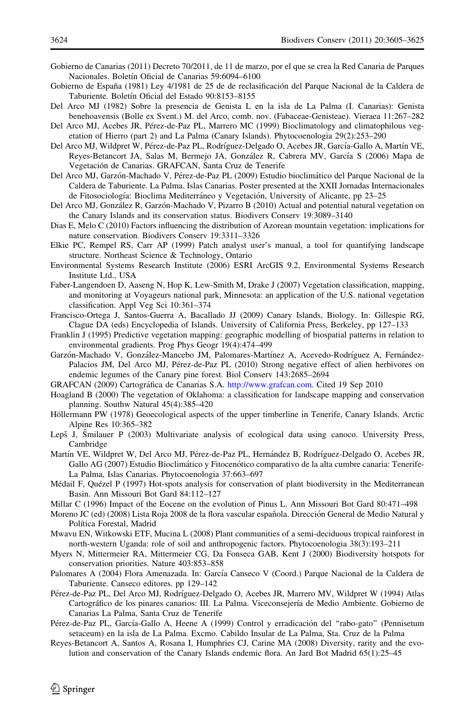<span id="page-19-0"></span>Gobierno de Canarias (2011) Decreto 70/2011, de 11 de marzo, por el que se crea la Red Canaria de Parques Nacionales. Boletín Oficial de Canarias 59:6094-6100

- Gobierno de España (1981) Ley 4/1981 de 25 de de reclasificación del Parque Nacional de la Caldera de Taburiente. Boletín Oficial del Estado 90:8153-8155
- Del Arco MJ (1982) Sobre la presencia de Genista L en la isla de La Palma (I. Canarias): Genista benehoavensis (Bolle ex Svent.) M. del Arco, comb. nov. (Fabaceae-Genisteae). Vieraea 11:267–282
- Del Arco MJ, Acebes JR, Pérez-de-Paz PL, Marrero MC (1999) Bioclimatology and climatophilous vegetation of Hierro (part 2) and La Palma (Canary Islands). Phytocoenologia 29(2):253–290
- Del Arco MJ, Wildpret W, Pérez-de-Paz PL, Rodríguez-Delgado O, Acebes JR, García-Gallo A, Martín VE, Reyes-Betancort JA, Salas M, Bermejo JA, González R, Cabrera MV, García S (2006) Mapa de Vegetación de Canarias. GRAFCAN, Santa Cruz de Tenerife
- Del Arco MJ, Garzón-Machado V, Pérez-de-Paz PL (2009) Estudio bioclimático del Parque Nacional de la Caldera de Taburiente. La Palma. Islas Canarias. Poster presented at the XXII Jornadas Internacionales de Fitosociología: Bioclima Mediterráneo y Vegetación, University of Alicante, pp 23–25
- Del Arco MJ, González R, Garzón-Machado V, Pizarro B (2010) Actual and potential natural vegetation on the Canary Islands and its conservation status. Biodivers Conserv 19:3089–3140
- Dias E, Melo C (2010) Factors influencing the distribution of Azorean mountain vegetation: implications for nature conservation. Biodivers Conserv 19:3311–3326
- Elkie PC, Rempel RS, Carr AP (1999) Patch analyst user's manual, a tool for quantifying landscape structure. Northeast Science & Technology, Ontario
- Environmental Systems Research Institute (2006) ESRI ArcGIS 9.2, Environmental Systems Research Institute Ltd., USA
- Faber-Langendoen D, Aaseng N, Hop K, Lew-Smith M, Drake J (2007) Vegetation classification, mapping, and monitoring at Voyageurs national park, Minnesota: an application of the U.S. national vegetation classification. Appl Veg Sci 10:361–374
- Francisco-Ortega J, Santos-Guerra A, Bacallado JJ (2009) Canary Islands, Biology. In: Gillespie RG, Clague DA (eds) Encyclopedia of Islands. University of California Press, Berkeley, pp 127–133
- Franklin J (1995) Predictive vegetation mapping: geographic modelling of biospatial patterns in relation to environmental gradients. Prog Phys Geogr 19(4):474–499
- Garzón-Machado V, González-Mancebo JM, Palomares-Martínez A, Acevedo-Rodríguez A, Fernández-Palacios JM, Del Arco MJ, Pérez-de-Paz PL (2010) Strong negative effect of alien herbivores on endemic legumes of the Canary pine forest. Biol Conserv 143:2685–2694
- GRAFCAN (2009) Cartogra´fica de Canarias S.A. [http://www.grafcan.com.](http://www.grafcan.com) Cited 19 Sep 2010
- Hoagland B (2000) The vegetation of Oklahoma: a classification for landscape mapping and conservation planning. Southw Natural 45(4):385–420
- Höllermann PW (1978) Geoecological aspects of the upper timberline in Tenerife, Canary Islands. Arctic Alpine Res 10:365–382
- Lepš J, Smilauer P (2003) Multivariate analysis of ecological data using canoco. University Press, Cambridge
- Martín VE, Wildpret W, Del Arco MJ, Pérez-de-Paz PL, Hernández B, Rodríguez-Delgado O, Acebes JR, Gallo AG (2007) Estudio Bioclimático y Fitocenótico comparativo de la alta cumbre canaria: Tenerife-La Palma, Islas Canarias. Phytocoenologia 37:663–697
- Médail F, Quézel P (1997) Hot-spots analysis for conservation of plant biodiversity in the Mediterranean Basin. Ann Missouri Bot Gard 84:112–127
- Millar C (1996) Impact of the Eocene on the evolution of Pinus L. Ann Missouri Bot Gard 80:471–498
- Moreno JC (ed) (2008) Lista Roja 2008 de la flora vascular española. Dirección General de Medio Natural y Política Forestal, Madrid
- Mwavu EN, Witkowski ETF, Mucina L (2008) Plant communities of a semi-deciduous tropical rainforest in north-western Uganda: role of soil and anthropogenic factors. Phytocoenologia 38(3):193–211
- Myers N, Mittermeier RA, Mittermeier CG, Da Fonseca GAB, Kent J (2000) Biodiversity hotspots for conservation priorities. Nature 403:853–858
- Palomares A (2004) Flora Amenazada. In: García Canseco V (Coord.) Parque Nacional de la Caldera de Taburiente. Canseco editores. pp 129–142
- Pérez-de-Paz PL, Del Arco MJ, Rodríguez-Delgado O, Acebes JR, Marrero MV, Wildpret W (1994) Atlas Cartográfico de los pinares canarios: III. La Palma. Viceconsejería de Medio Ambiente. Gobierno de Canarias La Palma, Santa Cruz de Tenerife
- Pérez-de-Paz PL, García-Gallo A, Heene A (1999) Control y erradicación del "rabo-gato" (Pennisetum setaceum) en la isla de La Palma. Excmo. Cabildo Insular de La Palma, Sta. Cruz de la Palma
- Reyes-Betancort A, Santos A, Rosana I, Humphries CJ, Carine MA (2008) Diversity, rarity and the evolution and conservation of the Canary Islands endemic flora. An Jard Bot Madrid 65(1):25–45